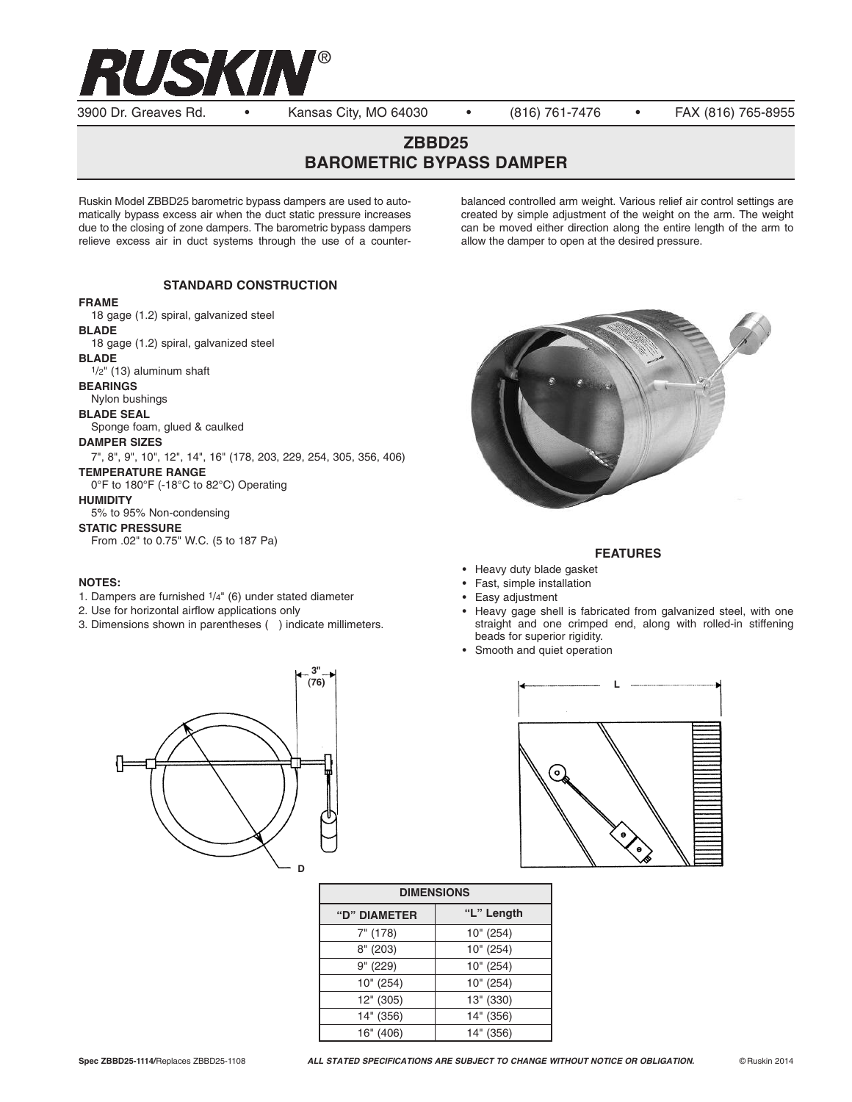

3900 Dr. Greaves Rd. • Kansas City, MO 64030 • (816) 761-7476 • FAX (816) 765-8955

# **ZBBD25 BAROMETRIC BYPASS DAMPER**

Ruskin Model ZBBD25 barometric bypass dampers are used to automatically bypass excess air when the duct static pressure increases due to the closing of zone dampers. The barometric bypass dampers relieve excess air in duct systems through the use of a counterbalanced controlled arm weight. Various relief air control settings are created by simple adjustment of the weight on the arm. The weight can be moved either direction along the entire length of the arm to allow the damper to open at the desired pressure.

# **STANDARD CONSTRUCTION**

#### **FRAME**

18 gage (1.2) spiral, galvanized steel **BLADE** 18 gage (1.2) spiral, galvanized steel **BLADE** 1/2" (13) aluminum shaft **BEARINGS** Nylon bushings **BLADE SEAL** Sponge foam, glued & caulked **DAMPER SIZES** 7", 8", 9", 10", 12", 14", 16" (178, 203, 229, 254, 305, 356, 406) **TEMPERATURE RANGE**

0°F to 180°F (-18°C to 82°C) Operating

**HUMIDITY**

5% to 95% Non-condensing

**STATIC PRESSURE**

From .02" to 0.75" W.C. (5 to 187 Pa)

## **NOTES:**

- 1. Dampers are furnished 1/4" (6) under stated diameter
- 2. Use for horizontal airflow applications only
- 3. Dimensions shown in parentheses ( ) indicate millimeters.

**D**

**3"**



## **FEATURES**

- Heavy duty blade gasket
- Fast, simple installation
- Easy adjustment
- Heavy gage shell is fabricated from galvanized steel, with one straight and one crimped end, along with rolled-in stiffening beads for superior rigidity.
- Smooth and quiet operation



| <b>DIMENSIONS</b> |            |
|-------------------|------------|
| "D" DIAMETER      | "L" Length |
| $7"$ (178)        | 10" (254)  |
| 8''(203)          | 10" (254)  |
| 9" (229)          | 10" (254)  |
| 10" (254)         | 10" (254)  |
| 12" (305)         | 13" (330)  |
| 14" (356)         | 14" (356)  |
| 16" (406)         | 14" (356)  |